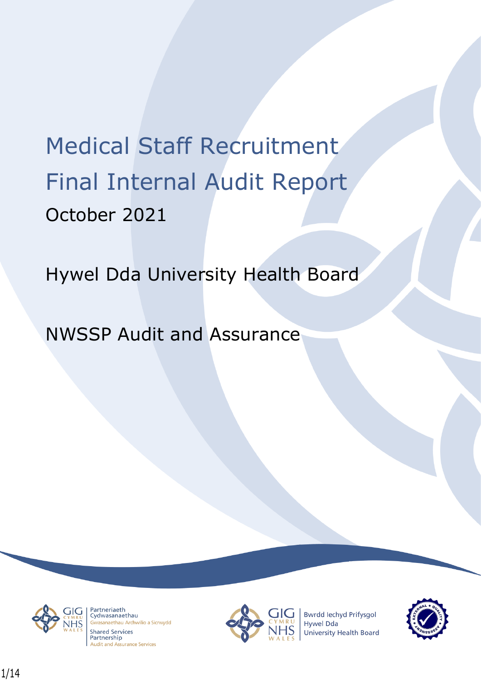# Medical Staff Recruitment Final Internal Audit Report October 2021

Hywel Dda University Health Board

NWSSP Audit and Assurance



Partneriaeth rarthenaeth<br>Cydwasanaethau asanaethau Archwilio a Sicrwydd **Shared Services** Partnership **Audit and Assurance Services** 



**Bwrdd lechyd Prifysgol** Hywel Dda University Health Board

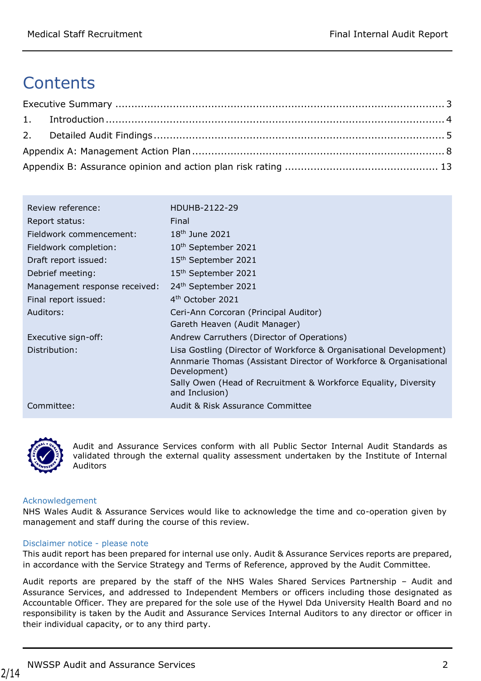# **Contents**

| Review reference:             | HDUHB-2122-29                                                                     |
|-------------------------------|-----------------------------------------------------------------------------------|
| Report status:                | Final                                                                             |
| Fieldwork commencement:       | 18 <sup>th</sup> June 2021                                                        |
| Fieldwork completion:         | 10 <sup>th</sup> September 2021                                                   |
| Draft report issued:          | 15 <sup>th</sup> September 2021                                                   |
| Debrief meeting:              | 15 <sup>th</sup> September 2021                                                   |
| Management response received: | 24th September 2021                                                               |
| Final report issued:          | 4 <sup>th</sup> October 2021                                                      |
| Auditors:                     | Ceri-Ann Corcoran (Principal Auditor)                                             |
|                               | Gareth Heaven (Audit Manager)                                                     |
| Executive sign-off:           | Andrew Carruthers (Director of Operations)                                        |
| Distribution:                 | Lisa Gostling (Director of Workforce & Organisational Development)                |
|                               | Annmarie Thomas (Assistant Director of Workforce & Organisational<br>Development) |
|                               | Sally Owen (Head of Recruitment & Workforce Equality, Diversity                   |
|                               | and Inclusion)                                                                    |
| Committee:                    | Audit & Risk Assurance Committee                                                  |



Audit and Assurance Services conform with all Public Sector Internal Audit Standards as validated through the external quality assessment undertaken by the Institute of Internal Auditors

#### Acknowledgement

NHS Wales Audit & Assurance Services would like to acknowledge the time and co-operation given by management and staff during the course of this review.

#### Disclaimer notice - please note

This audit report has been prepared for internal use only. Audit & Assurance Services reports are prepared, in accordance with the Service Strategy and Terms of Reference, approved by the Audit Committee.

Audit reports are prepared by the staff of the NHS Wales Shared Services Partnership – Audit and Assurance Services, and addressed to Independent Members or officers including those designated as Accountable Officer. They are prepared for the sole use of the Hywel Dda University Health Board and no responsibility is taken by the Audit and Assurance Services Internal Auditors to any director or officer in their individual capacity, or to any third party.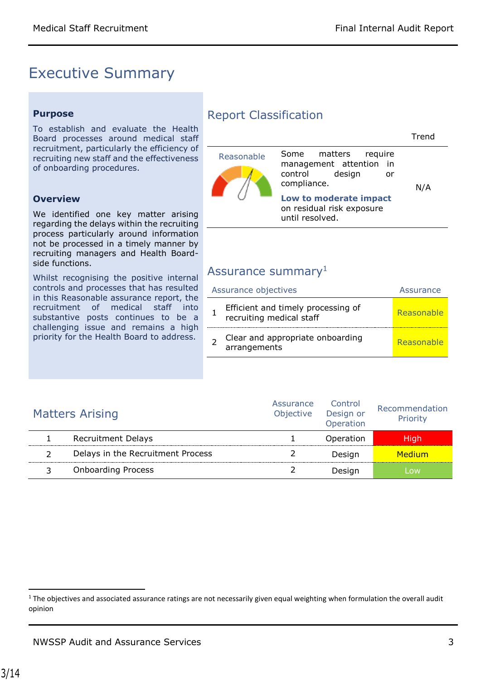## <span id="page-2-0"></span>Executive Summary

#### **Purpose**

To establish and evaluate the Health Board processes around medical staff recruitment, particularly the efficiency of recruiting new staff and the effectiveness of onboarding procedures.

#### **Overview**

We identified one key matter arising regarding the delays within the recruiting process particularly around information not be processed in a timely manner by recruiting managers and Health Boardside functions.

Whilst recognising the positive internal controls and processes that has resulted in this Reasonable assurance report, the recruitment of medical staff into substantive posts continues to be a challenging issue and remains a high priority for the Health Board to address.

### Report Classification

|            |                                                                                                 | Trend |
|------------|-------------------------------------------------------------------------------------------------|-------|
| Reasonable | matters<br>Some<br>reguire<br>management attention in<br>control<br>design<br>or<br>compliance. | N/A   |
|            | Low to moderate impact<br>on residual risk exposure<br>until resolved.                          |       |

### Assurance summary<sup>1</sup>

| Assurance objectives |                                                                | Assurance  |
|----------------------|----------------------------------------------------------------|------------|
|                      | Efficient and timely processing of<br>recruiting medical staff | Reasonable |
|                      | Clear and appropriate onboarding<br>arrangements               | Reasonable |

| <b>Matters Arising</b>            | Assurance<br>Objective | Control<br>Design or<br>Operation | Recommendation<br>Priority |
|-----------------------------------|------------------------|-----------------------------------|----------------------------|
| <b>Recruitment Delays</b>         |                        | Operation                         | Hiah                       |
| Delays in the Recruitment Process |                        | Design                            | Medium                     |
| <b>Onboarding Process</b>         |                        | Desian                            | <b>OW</b>                  |

 $\overline{\phantom{a}}$ 

 $1$  The objectives and associated assurance ratings are not necessarily given equal weighting when formulation the overall audit opinion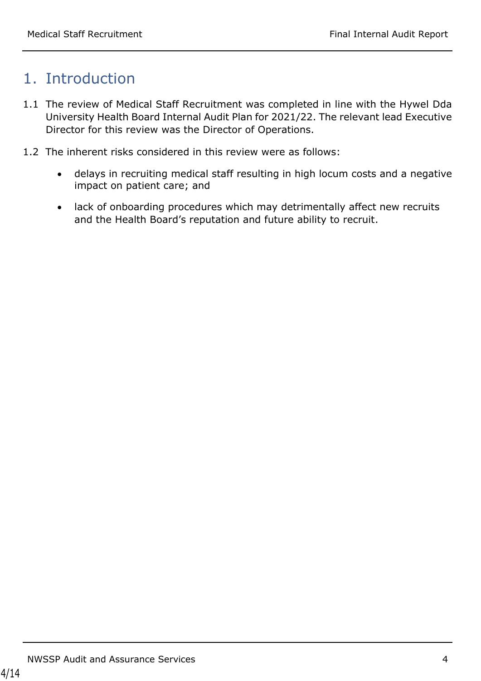# <span id="page-3-0"></span>1. Introduction

- 1.1 The review of Medical Staff Recruitment was completed in line with the Hywel Dda University Health Board Internal Audit Plan for 2021/22. The relevant lead Executive Director for this review was the Director of Operations.
- <span id="page-3-1"></span>1.2 The inherent risks considered in this review were as follows:
	- delays in recruiting medical staff resulting in high locum costs and a negative impact on patient care; and
	- lack of onboarding procedures which may detrimentally affect new recruits and the Health Board's reputation and future ability to recruit.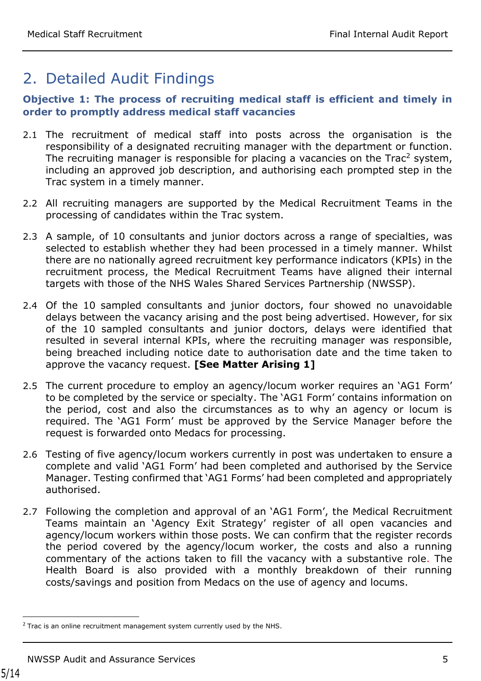# 2. Detailed Audit Findings

### **Objective 1: The process of recruiting medical staff is efficient and timely in order to promptly address medical staff vacancies**

- 2.1 The recruitment of medical staff into posts across the organisation is the responsibility of a designated recruiting manager with the department or function. The recruiting manager is responsible for placing a vacancies on the Trac<sup>2</sup> system, including an approved job description, and authorising each prompted step in the Trac system in a timely manner.
- 2.2 All recruiting managers are supported by the Medical Recruitment Teams in the processing of candidates within the Trac system.
- 2.3 A sample, of 10 consultants and junior doctors across a range of specialties, was selected to establish whether they had been processed in a timely manner. Whilst there are no nationally agreed recruitment key performance indicators (KPIs) in the recruitment process, the Medical Recruitment Teams have aligned their internal targets with those of the NHS Wales Shared Services Partnership (NWSSP).
- 2.4 Of the 10 sampled consultants and junior doctors, four showed no unavoidable delays between the vacancy arising and the post being advertised. However, for six of the 10 sampled consultants and junior doctors, delays were identified that resulted in several internal KPIs, where the recruiting manager was responsible, being breached including notice date to authorisation date and the time taken to approve the vacancy request. **[See Matter Arising 1]**
- 2.5 The current procedure to employ an agency/locum worker requires an 'AG1 Form' to be completed by the service or specialty. The 'AG1 Form' contains information on the period, cost and also the circumstances as to why an agency or locum is required. The 'AG1 Form' must be approved by the Service Manager before the request is forwarded onto Medacs for processing.
- 2.6 Testing of five agency/locum workers currently in post was undertaken to ensure a complete and valid 'AG1 Form' had been completed and authorised by the Service Manager. Testing confirmed that 'AG1 Forms' had been completed and appropriately authorised.
- 2.7 Following the completion and approval of an 'AG1 Form', the Medical Recruitment Teams maintain an 'Agency Exit Strategy' register of all open vacancies and agency/locum workers within those posts. We can confirm that the register records the period covered by the agency/locum worker, the costs and also a running commentary of the actions taken to fill the vacancy with a substantive role. The Health Board is also provided with a monthly breakdown of their running costs/savings and position from Medacs on the use of agency and locums.

 $\overline{a}$ 

 $2$  Trac is an online recruitment management system currently used by the NHS.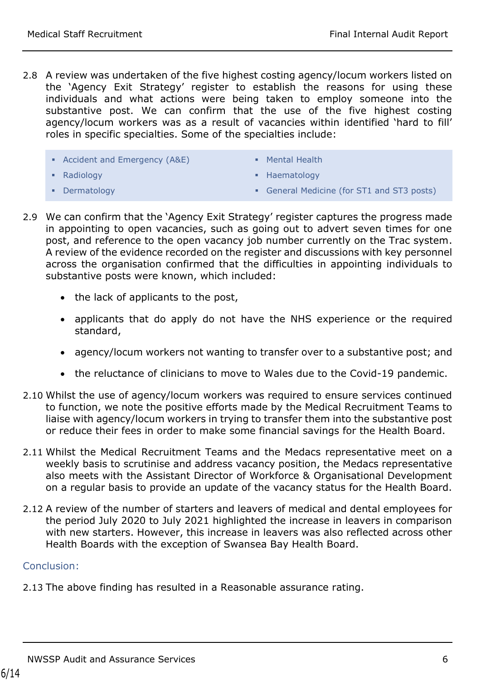- 2.8 A review was undertaken of the five highest costing agency/locum workers listed on the 'Agency Exit Strategy' register to establish the reasons for using these individuals and what actions were being taken to employ someone into the substantive post. We can confirm that the use of the five highest costing agency/locum workers was as a result of vacancies within identified 'hard to fill' roles in specific specialties. Some of the specialties include:
	- Accident and Emergency (A&E)
- **Mental Health**

**-** Radiology

• Haematology

**-** Dermatology

- General Medicine (for ST1 and ST3 posts)
- 2.9 We can confirm that the 'Agency Exit Strategy' register captures the progress made in appointing to open vacancies, such as going out to advert seven times for one post, and reference to the open vacancy job number currently on the Trac system. A review of the evidence recorded on the register and discussions with key personnel across the organisation confirmed that the difficulties in appointing individuals to substantive posts were known, which included:
	- the lack of applicants to the post,
	- applicants that do apply do not have the NHS experience or the required standard,
	- agency/locum workers not wanting to transfer over to a substantive post; and
	- the reluctance of clinicians to move to Wales due to the Covid-19 pandemic.
- 2.10 Whilst the use of agency/locum workers was required to ensure services continued to function, we note the positive efforts made by the Medical Recruitment Teams to liaise with agency/locum workers in trying to transfer them into the substantive post or reduce their fees in order to make some financial savings for the Health Board.
- 2.11 Whilst the Medical Recruitment Teams and the Medacs representative meet on a weekly basis to scrutinise and address vacancy position, the Medacs representative also meets with the Assistant Director of Workforce & Organisational Development on a regular basis to provide an update of the vacancy status for the Health Board.
- 2.12 A review of the number of starters and leavers of medical and dental employees for the period July 2020 to July 2021 highlighted the increase in leavers in comparison with new starters. However, this increase in leavers was also reflected across other Health Boards with the exception of Swansea Bay Health Board.

#### Conclusion:

2.13 The above finding has resulted in a Reasonable assurance rating.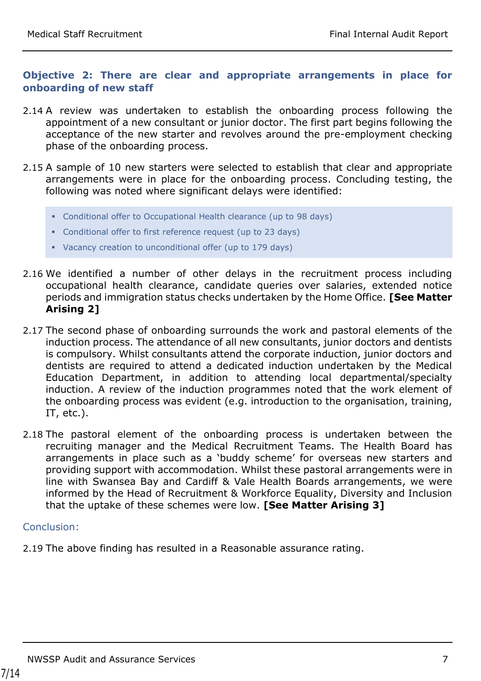### **Objective 2: There are clear and appropriate arrangements in place for onboarding of new staff**

- 2.14 A review was undertaken to establish the onboarding process following the appointment of a new consultant or junior doctor. The first part begins following the acceptance of the new starter and revolves around the pre-employment checking phase of the onboarding process.
- 2.15 A sample of 10 new starters were selected to establish that clear and appropriate arrangements were in place for the onboarding process. Concluding testing, the following was noted where significant delays were identified:
	- Conditional offer to Occupational Health clearance (up to 98 days)
	- Conditional offer to first reference request (up to 23 days)
	- Vacancy creation to unconditional offer (up to 179 days)
- 2.16 We identified a number of other delays in the recruitment process including occupational health clearance, candidate queries over salaries, extended notice periods and immigration status checks undertaken by the Home Office. **[See Matter Arising 2]**
- 2.17 The second phase of onboarding surrounds the work and pastoral elements of the induction process. The attendance of all new consultants, junior doctors and dentists is compulsory. Whilst consultants attend the corporate induction, junior doctors and dentists are required to attend a dedicated induction undertaken by the Medical Education Department, in addition to attending local departmental/specialty induction. A review of the induction programmes noted that the work element of the onboarding process was evident (e.g. introduction to the organisation, training, IT, etc.).
- 2.18 The pastoral element of the onboarding process is undertaken between the recruiting manager and the Medical Recruitment Teams. The Health Board has arrangements in place such as a 'buddy scheme' for overseas new starters and providing support with accommodation. Whilst these pastoral arrangements were in line with Swansea Bay and Cardiff & Vale Health Boards arrangements, we were informed by the Head of Recruitment & Workforce Equality, Diversity and Inclusion that the uptake of these schemes were low. **[See Matter Arising 3]**

#### Conclusion:

2.19 The above finding has resulted in a Reasonable assurance rating.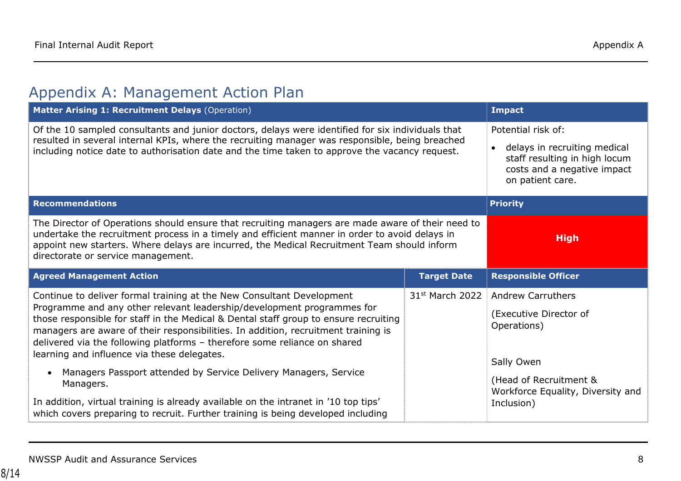# Appendix A: Management Action Plan

<span id="page-7-0"></span>

| Matter Arising 1: Recruitment Delays (Operation)                                                                                                                                                                                                                                                                                                                                                                                                                                                                                                                                                                                                                                                                                   | <b>Impact</b>                                                                                                                                       |                                                                                                                                                              |
|------------------------------------------------------------------------------------------------------------------------------------------------------------------------------------------------------------------------------------------------------------------------------------------------------------------------------------------------------------------------------------------------------------------------------------------------------------------------------------------------------------------------------------------------------------------------------------------------------------------------------------------------------------------------------------------------------------------------------------|-----------------------------------------------------------------------------------------------------------------------------------------------------|--------------------------------------------------------------------------------------------------------------------------------------------------------------|
| Of the 10 sampled consultants and junior doctors, delays were identified for six individuals that<br>resulted in several internal KPIs, where the recruiting manager was responsible, being breached<br>including notice date to authorisation date and the time taken to approve the vacancy request.                                                                                                                                                                                                                                                                                                                                                                                                                             | Potential risk of:<br>delays in recruiting medical<br>$\bullet$<br>staff resulting in high locum<br>costs and a negative impact<br>on patient care. |                                                                                                                                                              |
| <b>Recommendations</b>                                                                                                                                                                                                                                                                                                                                                                                                                                                                                                                                                                                                                                                                                                             |                                                                                                                                                     | <b>Priority</b>                                                                                                                                              |
| The Director of Operations should ensure that recruiting managers are made aware of their need to<br>undertake the recruitment process in a timely and efficient manner in order to avoid delays in<br>appoint new starters. Where delays are incurred, the Medical Recruitment Team should inform<br>directorate or service management.                                                                                                                                                                                                                                                                                                                                                                                           | <b>High</b>                                                                                                                                         |                                                                                                                                                              |
| <b>Agreed Management Action</b>                                                                                                                                                                                                                                                                                                                                                                                                                                                                                                                                                                                                                                                                                                    | <b>Responsible Officer</b>                                                                                                                          |                                                                                                                                                              |
| Continue to deliver formal training at the New Consultant Development<br>Programme and any other relevant leadership/development programmes for<br>those responsible for staff in the Medical & Dental staff group to ensure recruiting<br>managers are aware of their responsibilities. In addition, recruitment training is<br>delivered via the following platforms - therefore some reliance on shared<br>learning and influence via these delegates.<br>Managers Passport attended by Service Delivery Managers, Service<br>$\bullet$<br>Managers.<br>In addition, virtual training is already available on the intranet in '10 top tips'<br>which covers preparing to recruit. Further training is being developed including | 31 <sup>st</sup> March 2022                                                                                                                         | <b>Andrew Carruthers</b><br>(Executive Director of<br>Operations)<br>Sally Owen<br>(Head of Recruitment &<br>Workforce Equality, Diversity and<br>Inclusion) |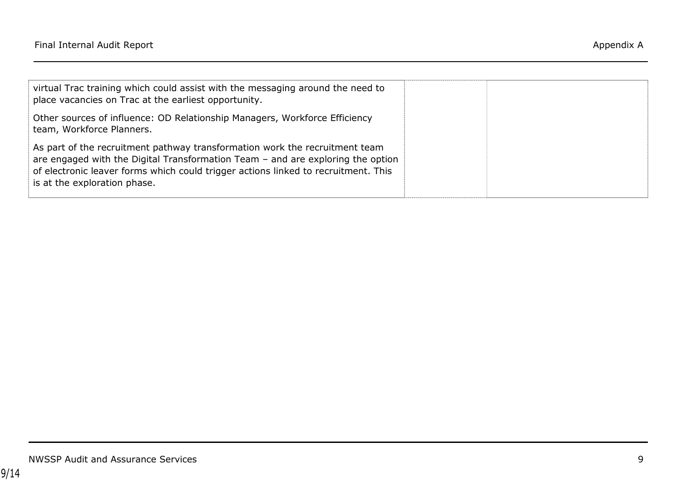| virtual Trac training which could assist with the messaging around the need to                                                                                                                                                                                                         |  |
|----------------------------------------------------------------------------------------------------------------------------------------------------------------------------------------------------------------------------------------------------------------------------------------|--|
| place vacancies on Trac at the earliest opportunity.                                                                                                                                                                                                                                   |  |
| Other sources of influence: OD Relationship Managers, Workforce Efficiency<br>team, Workforce Planners.                                                                                                                                                                                |  |
| As part of the recruitment pathway transformation work the recruitment team<br>are engaged with the Digital Transformation Team $-$ and are exploring the option<br>of electronic leaver forms which could trigger actions linked to recruitment. This<br>is at the exploration phase. |  |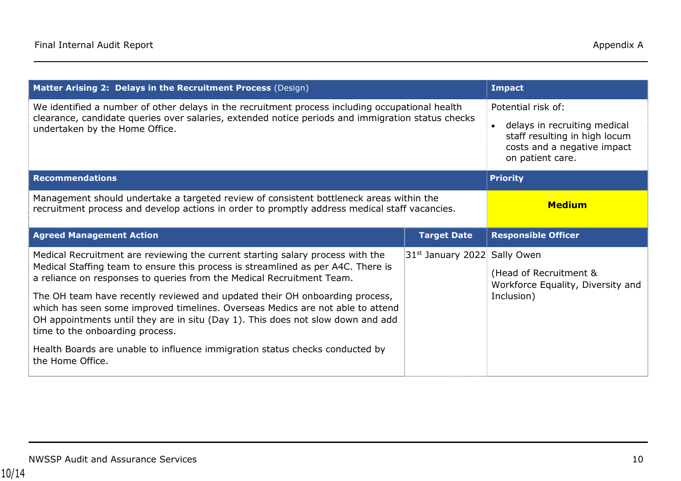| Matter Arising 2: Delays in the Recruitment Process (Design)                                                                                                                                                                           | <b>Impact</b>      |                                                                                                                                        |
|----------------------------------------------------------------------------------------------------------------------------------------------------------------------------------------------------------------------------------------|--------------------|----------------------------------------------------------------------------------------------------------------------------------------|
| We identified a number of other delays in the recruitment process including occupational health<br>clearance, candidate queries over salaries, extended notice periods and immigration status checks<br>undertaken by the Home Office. |                    | Potential risk of:<br>delays in recruiting medical<br>staff resulting in high locum<br>costs and a negative impact<br>on patient care. |
| <b>Recommendations</b>                                                                                                                                                                                                                 |                    | <b>Priority</b>                                                                                                                        |
| Management should undertake a targeted review of consistent bottleneck areas within the<br>recruitment process and develop actions in order to promptly address medical staff vacancies.                                               | <b>Medium</b>      |                                                                                                                                        |
| <b>Agreed Management Action</b>                                                                                                                                                                                                        | <b>Target Date</b> | <b>Responsible Officer</b>                                                                                                             |
|                                                                                                                                                                                                                                        |                    |                                                                                                                                        |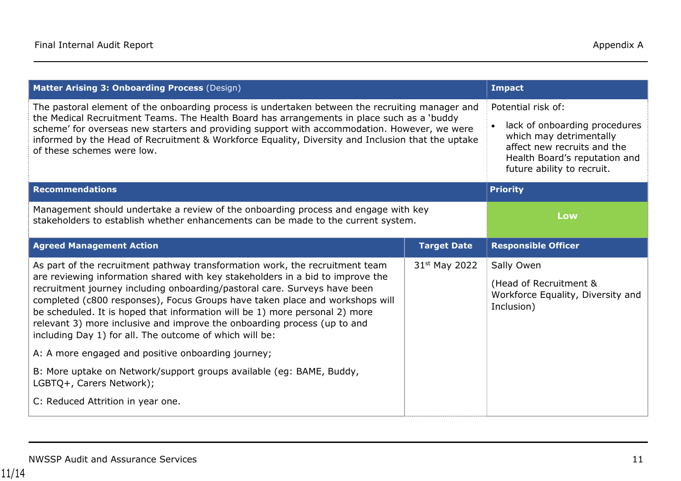| Matter Arising 3: Onboarding Process (Design)                                                                                                                                                                                                                                                                                                                                                                                                                                                                                                                                                                                                                                                               | <b>Impact</b>                                                                                                                                                                |                                                                                         |
|-------------------------------------------------------------------------------------------------------------------------------------------------------------------------------------------------------------------------------------------------------------------------------------------------------------------------------------------------------------------------------------------------------------------------------------------------------------------------------------------------------------------------------------------------------------------------------------------------------------------------------------------------------------------------------------------------------------|------------------------------------------------------------------------------------------------------------------------------------------------------------------------------|-----------------------------------------------------------------------------------------|
| The pastoral element of the onboarding process is undertaken between the recruiting manager and<br>the Medical Recruitment Teams. The Health Board has arrangements in place such as a 'buddy<br>scheme' for overseas new starters and providing support with accommodation. However, we were<br>informed by the Head of Recruitment & Workforce Equality, Diversity and Inclusion that the uptake<br>of these schemes were low.                                                                                                                                                                                                                                                                            | Potential risk of:<br>lack of onboarding procedures<br>which may detrimentally<br>affect new recruits and the<br>Health Board's reputation and<br>future ability to recruit. |                                                                                         |
| <b>Recommendations</b>                                                                                                                                                                                                                                                                                                                                                                                                                                                                                                                                                                                                                                                                                      |                                                                                                                                                                              | <b>Priority</b>                                                                         |
| Management should undertake a review of the onboarding process and engage with key<br>stakeholders to establish whether enhancements can be made to the current system.                                                                                                                                                                                                                                                                                                                                                                                                                                                                                                                                     | Low                                                                                                                                                                          |                                                                                         |
| <b>Agreed Management Action</b>                                                                                                                                                                                                                                                                                                                                                                                                                                                                                                                                                                                                                                                                             | <b>Target Date</b>                                                                                                                                                           | <b>Responsible Officer</b>                                                              |
| As part of the recruitment pathway transformation work, the recruitment team<br>are reviewing information shared with key stakeholders in a bid to improve the<br>recruitment journey including onboarding/pastoral care. Surveys have been<br>completed (c800 responses), Focus Groups have taken place and workshops will<br>be scheduled. It is hoped that information will be 1) more personal 2) more<br>relevant 3) more inclusive and improve the onboarding process (up to and<br>including Day 1) for all. The outcome of which will be:<br>A: A more engaged and positive onboarding journey;<br>B: More uptake on Network/support groups available (eg: BAME, Buddy,<br>LGBTQ+, Carers Network); | 31 <sup>st</sup> May 2022                                                                                                                                                    | Sally Owen<br>(Head of Recruitment &<br>Workforce Equality, Diversity and<br>Inclusion) |
| C: Reduced Attrition in year one.                                                                                                                                                                                                                                                                                                                                                                                                                                                                                                                                                                                                                                                                           |                                                                                                                                                                              |                                                                                         |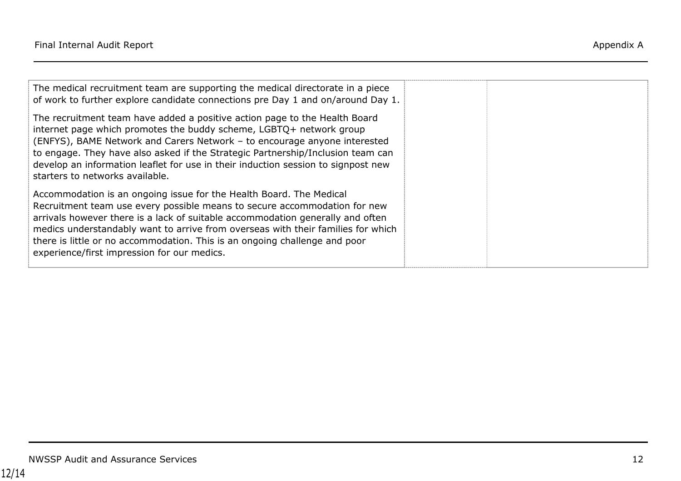| The medical recruitment team are supporting the medical directorate in a piece<br>of work to further explore candidate connections pre Day 1 and on/around Day 1.                                                                                                                                                                                                                                                                                   |  |
|-----------------------------------------------------------------------------------------------------------------------------------------------------------------------------------------------------------------------------------------------------------------------------------------------------------------------------------------------------------------------------------------------------------------------------------------------------|--|
| The recruitment team have added a positive action page to the Health Board<br>internet page which promotes the buddy scheme, LGBTQ+ network group<br>(ENFYS), BAME Network and Carers Network - to encourage anyone interested<br>to engage. They have also asked if the Strategic Partnership/Inclusion team can<br>develop an information leaflet for use in their induction session to signpost new<br>starters to networks available.           |  |
| Accommodation is an ongoing issue for the Health Board. The Medical<br>Recruitment team use every possible means to secure accommodation for new<br>arrivals however there is a lack of suitable accommodation generally and often<br>medics understandably want to arrive from overseas with their families for which<br>there is little or no accommodation. This is an ongoing challenge and poor<br>experience/first impression for our medics. |  |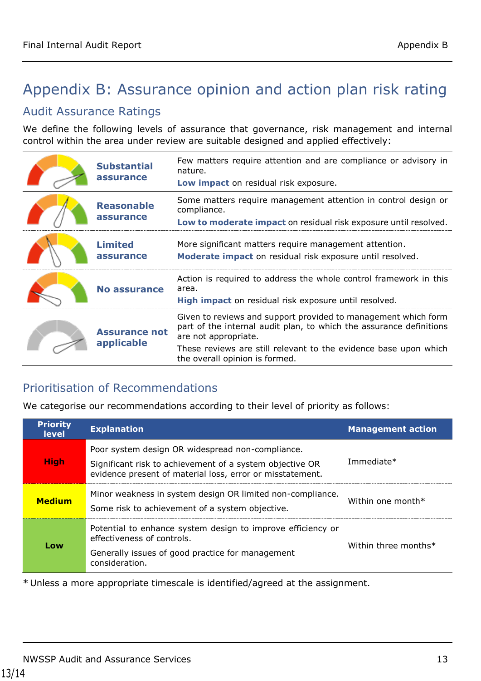# <span id="page-12-0"></span>Appendix B: Assurance opinion and action plan risk rating

### Audit Assurance Ratings

We define the following levels of assurance that governance, risk management and internal control within the area under review are suitable designed and applied effectively:

| <b>Substantial</b><br>assurance    | Few matters require attention and are compliance or advisory in<br>nature.<br>Low impact on residual risk exposure.                                                                                                               |
|------------------------------------|-----------------------------------------------------------------------------------------------------------------------------------------------------------------------------------------------------------------------------------|
| <b>Reasonable</b><br>assurance     | Some matters require management attention in control design or<br>compliance.<br>Low to moderate impact on residual risk exposure until resolved.                                                                                 |
| <b>Limited</b><br>assurance        | More significant matters require management attention.<br>Moderate impact on residual risk exposure until resolved.                                                                                                               |
| <b>No assurance</b>                | Action is required to address the whole control framework in this<br>area.<br>High impact on residual risk exposure until resolved.                                                                                               |
| <b>Assurance not</b><br>applicable | Given to reviews and support provided to management which form<br>part of the internal audit plan, to which the assurance definitions<br>are not appropriate.<br>These reviews are still relevant to the evidence base upon which |
|                                    | the overall opinion is formed.                                                                                                                                                                                                    |

### Prioritisation of Recommendations

We categorise our recommendations according to their level of priority as follows:

| <b>Priority</b><br><b>level</b> | <b>Explanation</b>                                                                                                                                                        | <b>Management action</b> |
|---------------------------------|---------------------------------------------------------------------------------------------------------------------------------------------------------------------------|--------------------------|
| <b>High</b>                     | Poor system design OR widespread non-compliance.<br>Significant risk to achievement of a system objective OR<br>evidence present of material loss, error or misstatement. | Immediate*               |
| <b>Medium</b>                   | Minor weakness in system design OR limited non-compliance.<br>Some risk to achievement of a system objective.                                                             | Within one month $*$     |
| Low                             | Potential to enhance system design to improve efficiency or<br>effectiveness of controls.<br>Generally issues of good practice for management<br>consideration.           | Within three months*     |

\* Unless a more appropriate timescale is identified/agreed at the assignment.